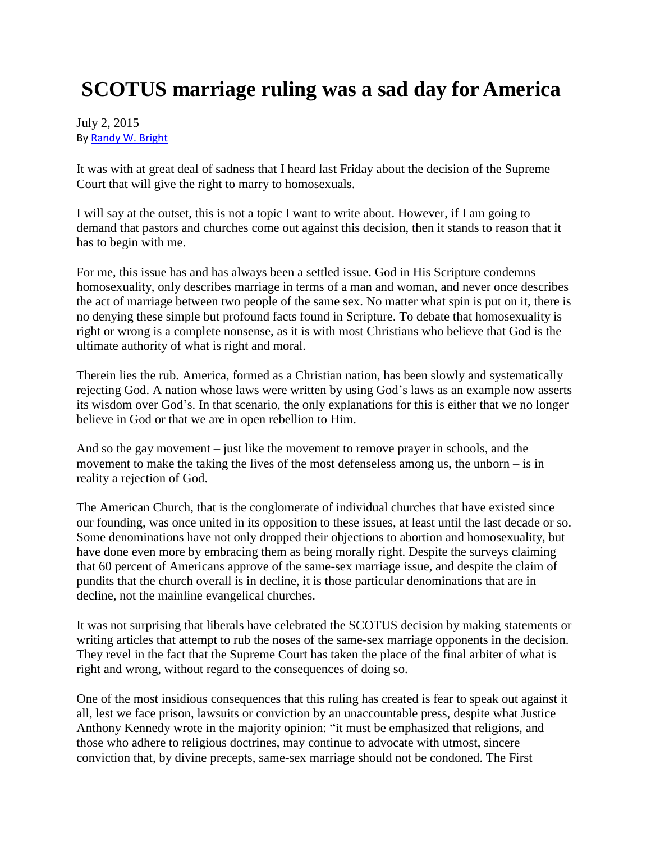## **SCOTUS marriage ruling was a sad day for America**

## July 2, 2015 B[y Randy W. Bright](http://www.tulsabeacon.com/author/slug-o6yd1v)

It was with at great deal of sadness that I heard last Friday about the decision of the Supreme Court that will give the right to marry to homosexuals.

I will say at the outset, this is not a topic I want to write about. However, if I am going to demand that pastors and churches come out against this decision, then it stands to reason that it has to begin with me.

For me, this issue has and has always been a settled issue. God in His Scripture condemns homosexuality, only describes marriage in terms of a man and woman, and never once describes the act of marriage between two people of the same sex. No matter what spin is put on it, there is no denying these simple but profound facts found in Scripture. To debate that homosexuality is right or wrong is a complete nonsense, as it is with most Christians who believe that God is the ultimate authority of what is right and moral.

Therein lies the rub. America, formed as a Christian nation, has been slowly and systematically rejecting God. A nation whose laws were written by using God's laws as an example now asserts its wisdom over God's. In that scenario, the only explanations for this is either that we no longer believe in God or that we are in open rebellion to Him.

And so the gay movement – just like the movement to remove prayer in schools, and the movement to make the taking the lives of the most defenseless among us, the unborn – is in reality a rejection of God.

The American Church, that is the conglomerate of individual churches that have existed since our founding, was once united in its opposition to these issues, at least until the last decade or so. Some denominations have not only dropped their objections to abortion and homosexuality, but have done even more by embracing them as being morally right. Despite the surveys claiming that 60 percent of Americans approve of the same-sex marriage issue, and despite the claim of pundits that the church overall is in decline, it is those particular denominations that are in decline, not the mainline evangelical churches.

It was not surprising that liberals have celebrated the SCOTUS decision by making statements or writing articles that attempt to rub the noses of the same-sex marriage opponents in the decision. They revel in the fact that the Supreme Court has taken the place of the final arbiter of what is right and wrong, without regard to the consequences of doing so.

One of the most insidious consequences that this ruling has created is fear to speak out against it all, lest we face prison, lawsuits or conviction by an unaccountable press, despite what Justice Anthony Kennedy wrote in the majority opinion: "it must be emphasized that religions, and those who adhere to religious doctrines, may continue to advocate with utmost, sincere conviction that, by divine precepts, same-sex marriage should not be condoned. The First